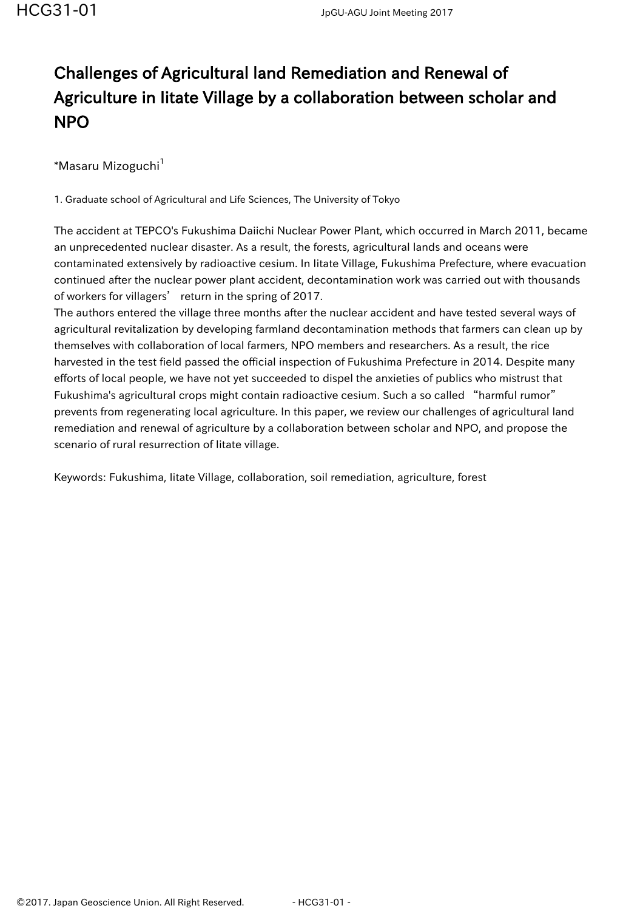## Challenges of Agricultural land Remediation and Renewal of Agriculture in Iitate Village by a collaboration between scholar and NPO

\*Masaru Mizoguchi<sup>1</sup>

1. Graduate school of Agricultural and Life Sciences, The University of Tokyo

The accident at TEPCO's Fukushima Daiichi Nuclear Power Plant, which occurred in March 2011, became an unprecedented nuclear disaster. As a result, the forests, agricultural lands and oceans were contaminated extensively by radioactive cesium. In Iitate Village, Fukushima Prefecture, where evacuation continued after the nuclear power plant accident, decontamination work was carried out with thousands of workers for villagers' return in the spring of 2017.

The authors entered the village three months after the nuclear accident and have tested several ways of agricultural revitalization by developing farmland decontamination methods that farmers can clean up by themselves with collaboration of local farmers, NPO members and researchers. As a result, the rice harvested in the test field passed the official inspection of Fukushima Prefecture in 2014. Despite many efforts of local people, we have not yet succeeded to dispel the anxieties of publics who mistrust that Fukushima's agricultural crops might contain radioactive cesium. Such a so called "harmful rumor" prevents from regenerating local agriculture. In this paper, we review our challenges of agricultural land remediation and renewal of agriculture by a collaboration between scholar and NPO, and propose the scenario of rural resurrection of Iitate village.

Keywords: Fukushima, Iitate Village, collaboration, soil remediation, agriculture, forest